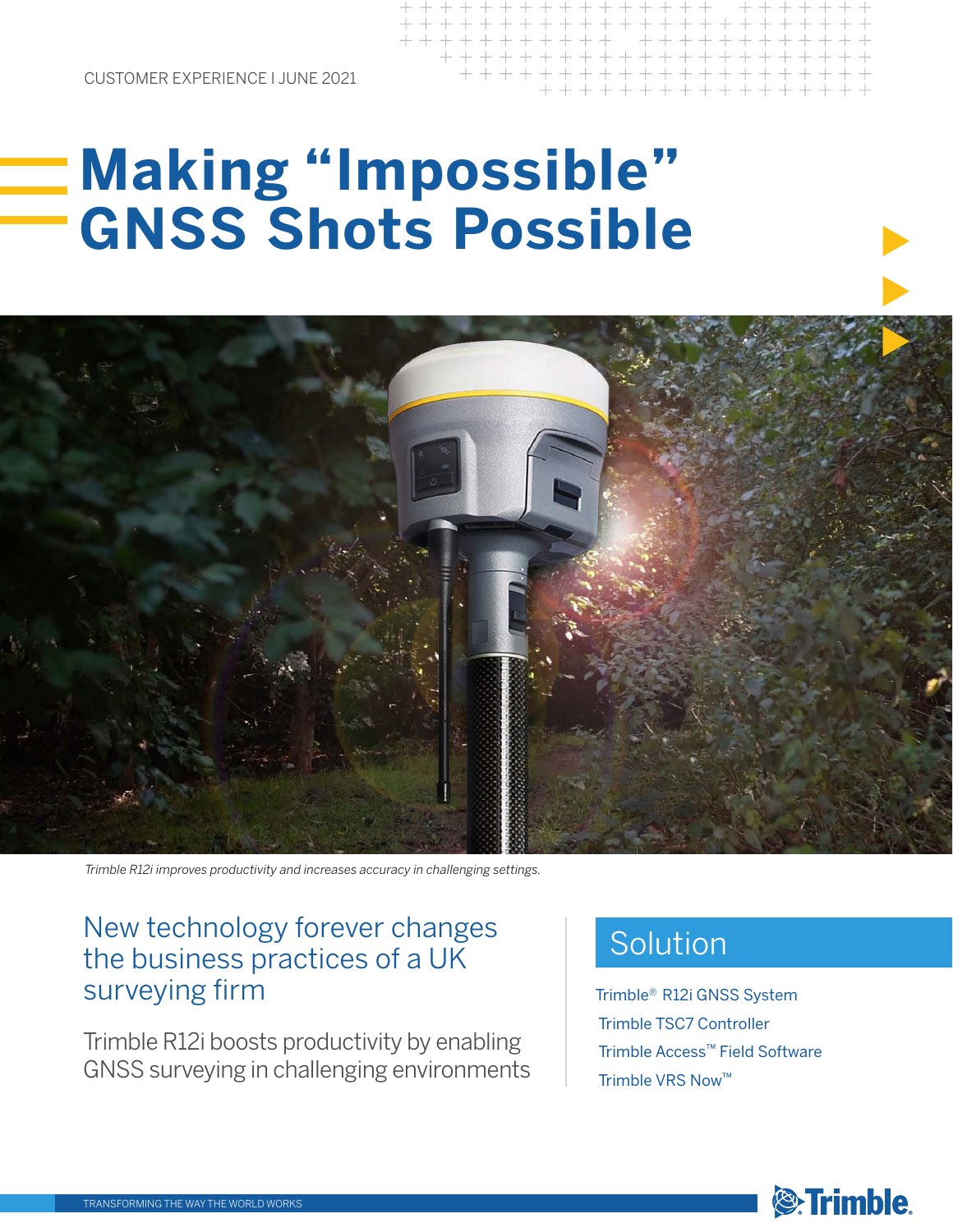CUSTOMER EXPERIENCE I JUNE 2021

## **Making "Impossible" GNSS Shots Possible**



*Trimble R12i improves productivity and increases accuracy in challenging settings.*

## New technology forever changes the business practices of a UK surveying firm

Trimble R12i boosts productivity by enabling GNSS surveying in challenging environments

## Solution

Trimble® R12i GNSS System Trimble TSC7 Controller Trimble Access™ Field Software Trimble VRS Now™

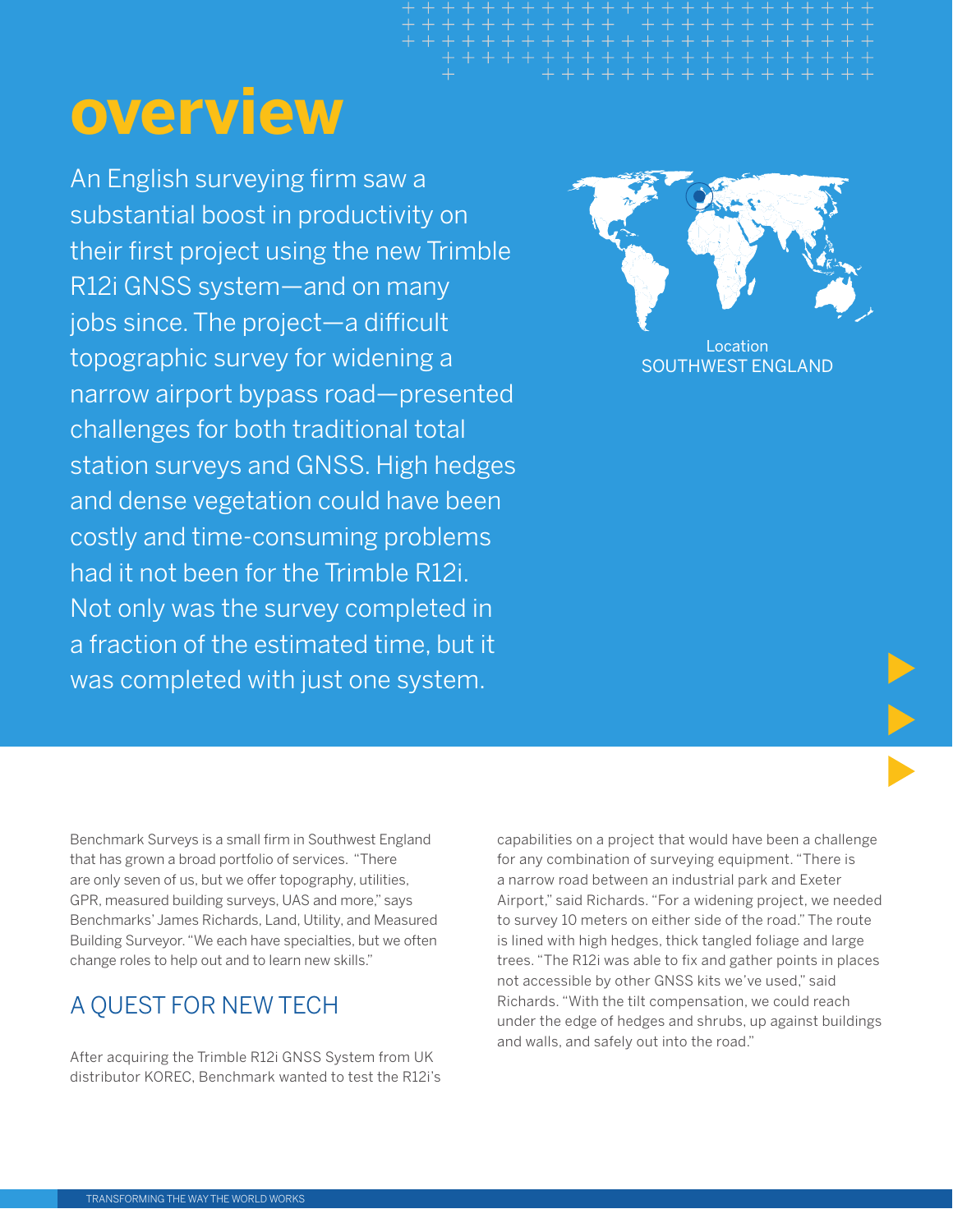# **overview**

An English surveying firm saw a substantial boost in productivity on their first project using the new Trimble R12i GNSS system—and on many jobs since. The project—a difficult topographic survey for widening a narrow airport bypass road—presented challenges for both traditional total station surveys and GNSS. High hedges and dense vegetation could have been costly and time-consuming problems had it not been for the Trimble R12i. Not only was the survey completed in a fraction of the estimated time, but it was completed with just one system.



Location SOUTHWEST ENGLAND

Benchmark Surveys is a small firm in Southwest England that has grown a broad portfolio of services. "There are only seven of us, but we offer topography, utilities, GPR, measured building surveys, UAS and more," says Benchmarks' James Richards, Land, Utility, and Measured Building Surveyor. "We each have specialties, but we often change roles to help out and to learn new skills."

### A QUEST FOR NEW TECH

After acquiring the Trimble R12i GNSS System from UK distributor KOREC, Benchmark wanted to test the R12i's

capabilities on a project that would have been a challenge for any combination of surveying equipment. "There is a narrow road between an industrial park and Exeter Airport," said Richards. "For a widening project, we needed to survey 10 meters on either side of the road." The route is lined with high hedges, thick tangled foliage and large trees. "The R12i was able to fix and gather points in places not accessible by other GNSS kits we've used," said Richards. "With the tilt compensation, we could reach under the edge of hedges and shrubs, up against buildings and walls, and safely out into the road."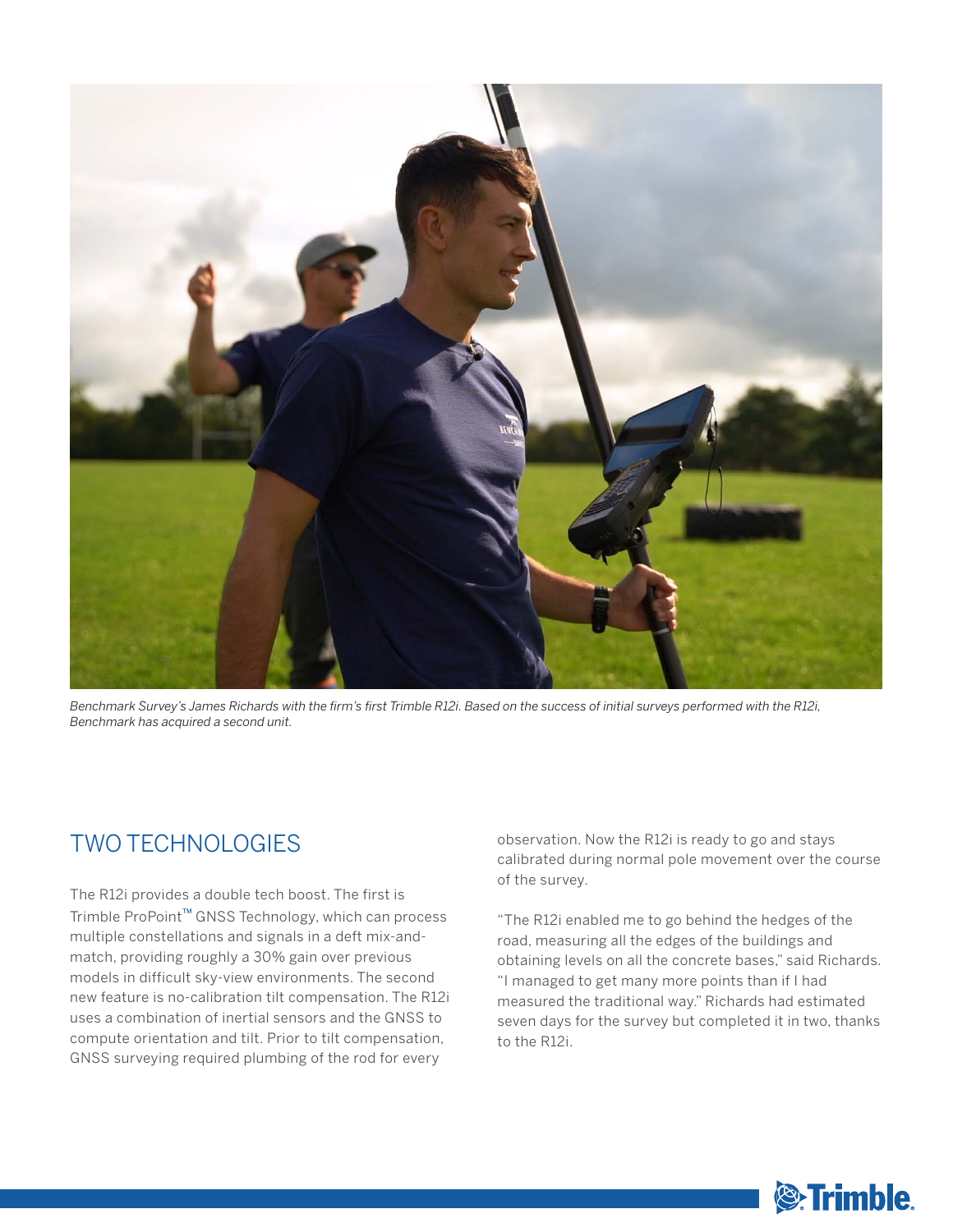

Benchmark Survey's James Richards with the firm's first Trimble R12i. Based on the success of initial surveys performed with the R12i, *Benchmark has acquired a second unit.*

### TWO TECHNOLOGIES

The R12i provides a double tech boost. The first is Trimble ProPoint™ GNSS Technology, which can process multiple constellations and signals in a deft mix-andmatch, providing roughly a 30% gain over previous models in difficult sky-view environments. The second new feature is no-calibration tilt compensation. The R12i uses a combination of inertial sensors and the GNSS to compute orientation and tilt. Prior to tilt compensation, GNSS surveying required plumbing of the rod for every

observation. Now the R12i is ready to go and stays calibrated during normal pole movement over the course of the survey.

"The R12i enabled me to go behind the hedges of the road, measuring all the edges of the buildings and obtaining levels on all the concrete bases," said Richards. "I managed to get many more points than if I had measured the traditional way." Richards had estimated seven days for the survey but completed it in two, thanks to the R12i.